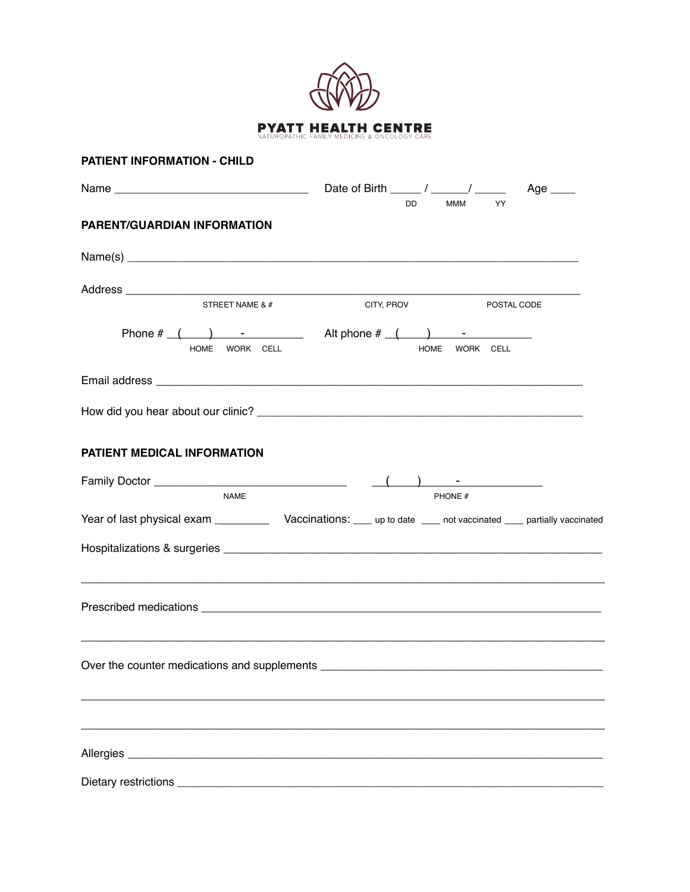

| <b>PATIENT INFORMATION - CHILD</b> |                                                                                                                                                                                                                                                                                                                                                                                                                                  |  |
|------------------------------------|----------------------------------------------------------------------------------------------------------------------------------------------------------------------------------------------------------------------------------------------------------------------------------------------------------------------------------------------------------------------------------------------------------------------------------|--|
|                                    | Date of Birth $\frac{1}{\sqrt{1-\frac{1}{2}}}\frac{1}{\sqrt{1-\frac{1}{2}}}\frac{1}{\sqrt{1-\frac{1}{2}}}\frac{1}{\sqrt{1-\frac{1}{2}}}\frac{1}{\sqrt{1-\frac{1}{2}}}\frac{1}{\sqrt{1-\frac{1}{2}}}\frac{1}{\sqrt{1-\frac{1}{2}}}\frac{1}{\sqrt{1-\frac{1}{2}}}\frac{1}{\sqrt{1-\frac{1}{2}}}\frac{1}{\sqrt{1-\frac{1}{2}}}\frac{1}{\sqrt{1-\frac{1}{2}}}\frac{1}{\sqrt{1-\frac{1}{2}}}\frac{1}{\sqrt{1-\frac{1}{$<br>Age $\_\_$ |  |
| <b>PARENT/GUARDIAN INFORMATION</b> | YY<br>DD.<br><b>MMM</b>                                                                                                                                                                                                                                                                                                                                                                                                          |  |
| Name(s)                            |                                                                                                                                                                                                                                                                                                                                                                                                                                  |  |
|                                    |                                                                                                                                                                                                                                                                                                                                                                                                                                  |  |
| STREET NAME & #                    | CITY, PROV<br>POSTAL CODE                                                                                                                                                                                                                                                                                                                                                                                                        |  |
| HOME WORK CELL                     | Phone $\#$ ( ) - Alt phone $\#$ ( ) - $\qquad$<br><b>HOME</b><br>WORK CELL                                                                                                                                                                                                                                                                                                                                                       |  |
|                                    |                                                                                                                                                                                                                                                                                                                                                                                                                                  |  |
|                                    |                                                                                                                                                                                                                                                                                                                                                                                                                                  |  |
| PATIENT MEDICAL INFORMATION        |                                                                                                                                                                                                                                                                                                                                                                                                                                  |  |
|                                    |                                                                                                                                                                                                                                                                                                                                                                                                                                  |  |
| <b>NAME</b>                        | PHONE #                                                                                                                                                                                                                                                                                                                                                                                                                          |  |
|                                    | Year of last physical exam ________________ Vaccinations: _____ up to date _____ not vaccinated _____ partially vaccinated                                                                                                                                                                                                                                                                                                       |  |
|                                    |                                                                                                                                                                                                                                                                                                                                                                                                                                  |  |
|                                    |                                                                                                                                                                                                                                                                                                                                                                                                                                  |  |
|                                    |                                                                                                                                                                                                                                                                                                                                                                                                                                  |  |
|                                    |                                                                                                                                                                                                                                                                                                                                                                                                                                  |  |
|                                    |                                                                                                                                                                                                                                                                                                                                                                                                                                  |  |
|                                    |                                                                                                                                                                                                                                                                                                                                                                                                                                  |  |
|                                    |                                                                                                                                                                                                                                                                                                                                                                                                                                  |  |
|                                    |                                                                                                                                                                                                                                                                                                                                                                                                                                  |  |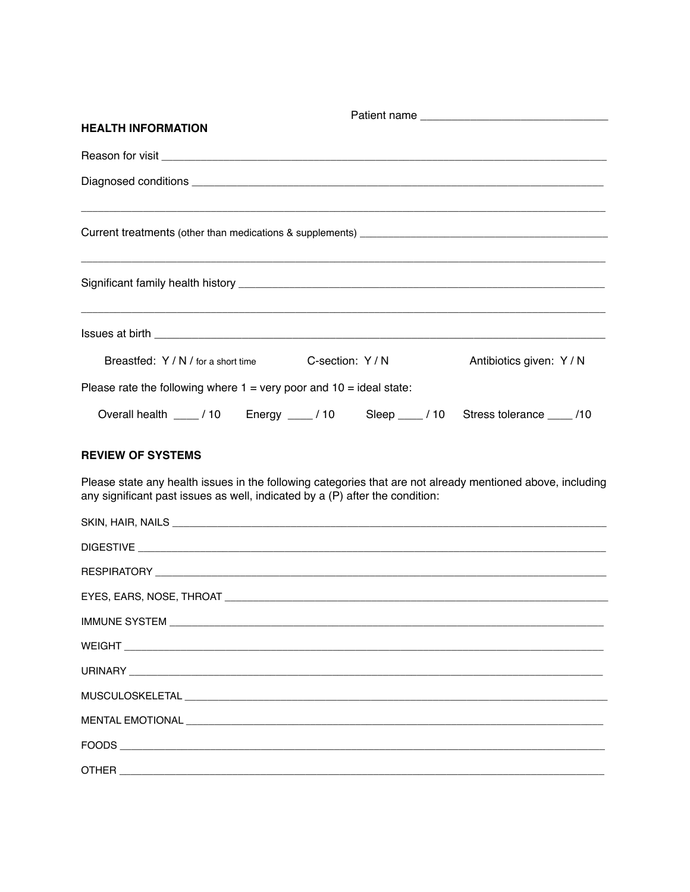| <b>HEALTH INFORMATION</b>                                                             |  |
|---------------------------------------------------------------------------------------|--|
|                                                                                       |  |
|                                                                                       |  |
|                                                                                       |  |
|                                                                                       |  |
|                                                                                       |  |
| Breastfed: Y / N / for a short time C-section: Y / N Antibiotics given: Y / N         |  |
| Please rate the following where $1 = \text{very poor}$ and $10 = \text{ideal}$ state: |  |
| Overall health ____ / 10 Energy ____ / 10 Sleep ___ / 10 Stress tolerance ____ /10    |  |

## **REVIEW OF SYSTEMS**

Please state any health issues in the following categories that are not already mentioned above, including any significant past issues as well, indicated by a (P) after the condition:

| SKIN, HAIR, NAILS <b>And Albert And Albert And Albert And Albert And Albert And Albert And Albert And Albert And A</b> |
|------------------------------------------------------------------------------------------------------------------------|
|                                                                                                                        |
|                                                                                                                        |
|                                                                                                                        |
|                                                                                                                        |
|                                                                                                                        |
|                                                                                                                        |
|                                                                                                                        |
|                                                                                                                        |
|                                                                                                                        |
|                                                                                                                        |